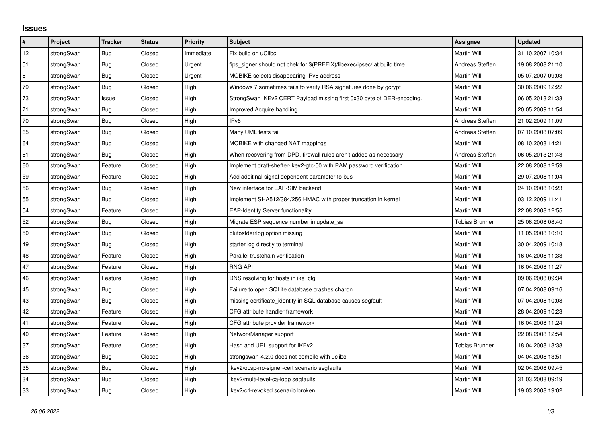## **Issues**

| #      | Project    | <b>Tracker</b> | <b>Status</b> | <b>Priority</b> | <b>Subject</b>                                                          | <b>Assignee</b>       | <b>Updated</b>   |
|--------|------------|----------------|---------------|-----------------|-------------------------------------------------------------------------|-----------------------|------------------|
| 12     | strongSwan | <b>Bug</b>     | Closed        | Immediate       | Fix build on uClibc                                                     | Martin Willi          | 31.10.2007 10:34 |
| 51     | strongSwan | Bug            | Closed        | Urgent          | fips signer should not chek for \$(PREFIX)/libexec/ipsec/ at build time | Andreas Steffen       | 19.08.2008 21:10 |
| 8      | strongSwan | Bug            | Closed        | Urgent          | MOBIKE selects disappearing IPv6 address                                | Martin Willi          | 05.07.2007 09:03 |
| 79     | strongSwan | Bug            | Closed        | High            | Windows 7 sometimes fails to verify RSA signatures done by gcrypt       | Martin Willi          | 30.06.2009 12:22 |
| 73     | strongSwan | Issue          | Closed        | High            | StrongSwan IKEv2 CERT Payload missing first 0x30 byte of DER-encoding.  | Martin Willi          | 06.05.2013 21:33 |
| 71     | strongSwan | Bug            | Closed        | High            | Improved Acquire handling                                               | <b>Martin Willi</b>   | 20.05.2009 11:54 |
| 70     | strongSwan | Bug            | Closed        | High            | IPv6                                                                    | Andreas Steffen       | 21.02.2009 11:09 |
| 65     | strongSwan | Bug            | Closed        | High            | Many UML tests fail                                                     | Andreas Steffen       | 07.10.2008 07:09 |
| 64     | strongSwan | Bug            | Closed        | High            | MOBIKE with changed NAT mappings                                        | Martin Willi          | 08.10.2008 14:21 |
| 61     | strongSwan | Bug            | Closed        | High            | When recovering from DPD, firewall rules aren't added as necessary      | Andreas Steffen       | 06.05.2013 21:43 |
| 60     | strongSwan | Feature        | Closed        | High            | Implement draft-sheffer-ikev2-gtc-00 with PAM password verification     | Martin Willi          | 22.08.2008 12:59 |
| 59     | strongSwan | Feature        | Closed        | High            | Add additinal signal dependent parameter to bus                         | Martin Willi          | 29.07.2008 11:04 |
| 56     | strongSwan | Bug            | Closed        | High            | New interface for EAP-SIM backend                                       | Martin Willi          | 24.10.2008 10:23 |
| 55     | strongSwan | Bug            | Closed        | High            | Implement SHA512/384/256 HMAC with proper truncation in kernel          | Martin Willi          | 03.12.2009 11:41 |
| 54     | strongSwan | Feature        | Closed        | High            | <b>EAP-Identity Server functionality</b>                                | Martin Willi          | 22.08.2008 12:55 |
| 52     | strongSwan | Bug            | Closed        | High            | Migrate ESP sequence number in update_sa                                | Tobias Brunner        | 25.06.2008 08:40 |
| 50     | strongSwan | Bug            | Closed        | High            | plutostderrlog option missing                                           | Martin Willi          | 11.05.2008 10:10 |
| 49     | strongSwan | Bug            | Closed        | High            | starter log directly to terminal                                        | Martin Willi          | 30.04.2009 10:18 |
| 48     | strongSwan | Feature        | Closed        | High            | Parallel trustchain verification                                        | Martin Willi          | 16.04.2008 11:33 |
| 47     | strongSwan | Feature        | Closed        | High            | <b>RNG API</b>                                                          | Martin Willi          | 16.04.2008 11:27 |
| 46     | strongSwan | Feature        | Closed        | High            | DNS resolving for hosts in ike_cfg                                      | Martin Willi          | 09.06.2008 09:34 |
| 45     | strongSwan | Bug            | Closed        | High            | Failure to open SQLite database crashes charon                          | Martin Willi          | 07.04.2008 09:16 |
| 43     | strongSwan | <b>Bug</b>     | Closed        | High            | missing certificate identity in SQL database causes segfault            | Martin Willi          | 07.04.2008 10:08 |
| 42     | strongSwan | Feature        | Closed        | High            | CFG attribute handler framework                                         | Martin Willi          | 28.04.2009 10:23 |
| 41     | strongSwan | Feature        | Closed        | High            | CFG attribute provider framework                                        | Martin Willi          | 16.04.2008 11:24 |
| $40\,$ | strongSwan | Feature        | Closed        | High            | NetworkManager support                                                  | Martin Willi          | 22.08.2008 12:54 |
| 37     | strongSwan | Feature        | Closed        | High            | Hash and URL support for IKEv2                                          | <b>Tobias Brunner</b> | 18.04.2008 13:38 |
| 36     | strongSwan | Bug            | Closed        | High            | strongswan-4.2.0 does not compile with uclibe                           | <b>Martin Willi</b>   | 04.04.2008 13:51 |
| 35     | strongSwan | Bug            | Closed        | High            | ikev2/ocsp-no-signer-cert scenario segfaults                            | Martin Willi          | 02.04.2008 09:45 |
| 34     | strongSwan | Bug            | Closed        | High            | ikev2/multi-level-ca-loop segfaults                                     | Martin Willi          | 31.03.2008 09:19 |
| 33     | strongSwan | Bug            | Closed        | High            | ikev2/crl-revoked scenario broken                                       | Martin Willi          | 19.03.2008 19:02 |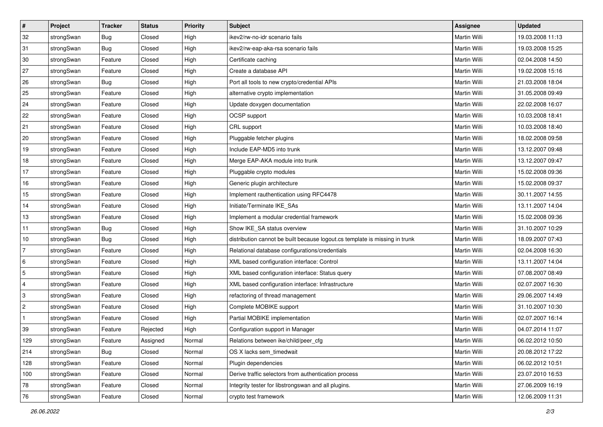| #              | Project    | <b>Tracker</b> | <b>Status</b> | <b>Priority</b> | <b>Subject</b>                                                              | Assignee            | <b>Updated</b>   |
|----------------|------------|----------------|---------------|-----------------|-----------------------------------------------------------------------------|---------------------|------------------|
| 32             | strongSwan | <b>Bug</b>     | Closed        | High            | ikev2/rw-no-idr scenario fails                                              | Martin Willi        | 19.03.2008 11:13 |
| 31             | strongSwan | Bug            | Closed        | High            | ikev2/rw-eap-aka-rsa scenario fails                                         | Martin Willi        | 19.03.2008 15:25 |
| 30             | strongSwan | Feature        | Closed        | High            | Certificate caching                                                         | Martin Willi        | 02.04.2008 14:50 |
| 27             | strongSwan | Feature        | Closed        | High            | Create a database API                                                       | Martin Willi        | 19.02.2008 15:16 |
| 26             | strongSwan | Bug            | Closed        | High            | Port all tools to new crypto/credential APIs                                | Martin Willi        | 21.03.2008 18:04 |
| 25             | strongSwan | Feature        | Closed        | High            | alternative crypto implementation                                           | Martin Willi        | 31.05.2008 09:49 |
| 24             | strongSwan | Feature        | Closed        | High            | Update doxygen documentation                                                | Martin Willi        | 22.02.2008 16:07 |
| 22             | strongSwan | Feature        | Closed        | High            | OCSP support                                                                | Martin Willi        | 10.03.2008 18:41 |
| 21             | strongSwan | Feature        | Closed        | High            | CRL support                                                                 | Martin Willi        | 10.03.2008 18:40 |
| 20             | strongSwan | Feature        | Closed        | High            | Pluggable fetcher plugins                                                   | <b>Martin Willi</b> | 18.02.2008 09:58 |
| 19             | strongSwan | Feature        | Closed        | High            | Include EAP-MD5 into trunk                                                  | Martin Willi        | 13.12.2007 09:48 |
| 18             | strongSwan | Feature        | Closed        | High            | Merge EAP-AKA module into trunk                                             | Martin Willi        | 13.12.2007 09:47 |
| 17             | strongSwan | Feature        | Closed        | High            | Pluggable crypto modules                                                    | <b>Martin Willi</b> | 15.02.2008 09:36 |
| 16             | strongSwan | Feature        | Closed        | High            | Generic plugin architecture                                                 | Martin Willi        | 15.02.2008 09:37 |
| 15             | strongSwan | Feature        | Closed        | High            | Implement rauthentication using RFC4478                                     | <b>Martin Willi</b> | 30.11.2007 14:55 |
| 14             | strongSwan | Feature        | Closed        | High            | Initiate/Terminate IKE_SAs                                                  | Martin Willi        | 13.11.2007 14:04 |
| 13             | strongSwan | Feature        | Closed        | High            | Implement a modular credential framework                                    | Martin Willi        | 15.02.2008 09:36 |
| 11             | strongSwan | Bug            | Closed        | High            | Show IKE_SA status overview                                                 | Martin Willi        | 31.10.2007 10:29 |
| 10             | strongSwan | <b>Bug</b>     | Closed        | High            | distribution cannot be built because logout.cs template is missing in trunk | Martin Willi        | 18.09.2007 07:43 |
| $\overline{7}$ | strongSwan | Feature        | Closed        | High            | Relational database configurations/credentials                              | Martin Willi        | 02.04.2008 16:30 |
| 6              | strongSwan | Feature        | Closed        | High            | XML based configuration interface: Control                                  | Martin Willi        | 13.11.2007 14:04 |
| 5              | strongSwan | Feature        | Closed        | High            | XML based configuration interface: Status query                             | Martin Willi        | 07.08.2007 08:49 |
| 4              | strongSwan | Feature        | Closed        | High            | XML based configuration interface: Infrastructure                           | <b>Martin Willi</b> | 02.07.2007 16:30 |
| 3              | strongSwan | Feature        | Closed        | High            | refactoring of thread management                                            | Martin Willi        | 29.06.2007 14:49 |
| $\overline{2}$ | strongSwan | Feature        | Closed        | High            | Complete MOBIKE support                                                     | Martin Willi        | 31.10.2007 10:30 |
| $\mathbf{1}$   | strongSwan | Feature        | Closed        | High            | Partial MOBIKE implementation                                               | <b>Martin Willi</b> | 02.07.2007 16:14 |
| 39             | strongSwan | Feature        | Rejected      | High            | Configuration support in Manager                                            | Martin Willi        | 04.07.2014 11:07 |
| 129            | strongSwan | Feature        | Assigned      | Normal          | Relations between ike/child/peer_cfg                                        | Martin Willi        | 06.02.2012 10:50 |
| 214            | strongSwan | Bug            | Closed        | Normal          | OS X lacks sem timedwait                                                    | Martin Willi        | 20.08.2012 17:22 |
| 128            | strongSwan | Feature        | Closed        | Normal          | Plugin dependencies                                                         | Martin Willi        | 06.02.2012 10:51 |
| 100            | strongSwan | Feature        | Closed        | Normal          | Derive traffic selectors from authentication process                        | Martin Willi        | 23.07.2010 16:53 |
| 78             | strongSwan | Feature        | Closed        | Normal          | Integrity tester for libstrongswan and all plugins.                         | Martin Willi        | 27.06.2009 16:19 |
| 76             | strongSwan | Feature        | Closed        | Normal          | crypto test framework                                                       | Martin Willi        | 12.06.2009 11:31 |